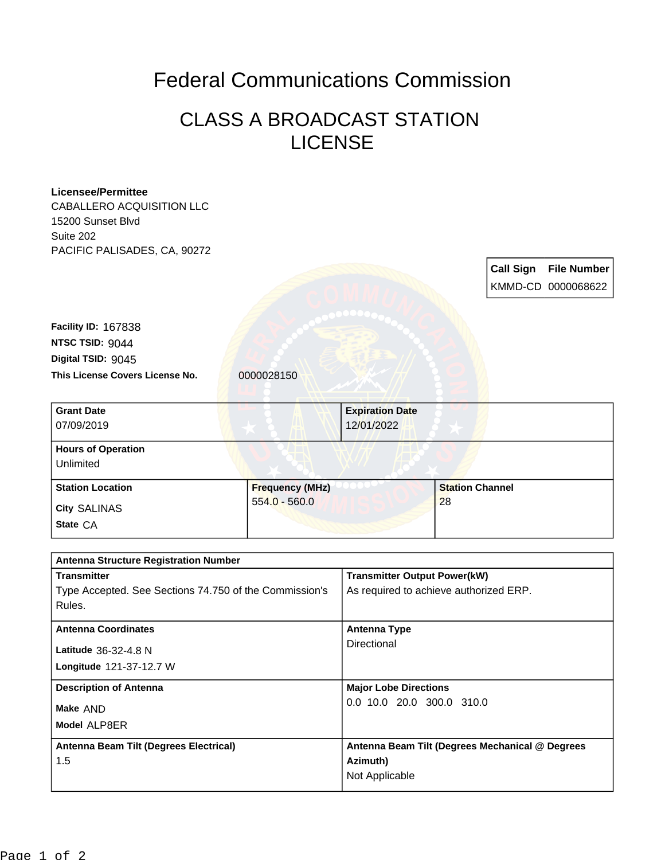## Federal Communications Commission

## CLASS A BROADCAST STATION LICENSE

| <b>Licensee/Permittee</b><br><b>CABALLERO ACQUISITION LLC</b>    |                                     |                                                 |                        |                  |                                          |
|------------------------------------------------------------------|-------------------------------------|-------------------------------------------------|------------------------|------------------|------------------------------------------|
| 15200 Sunset Blvd<br>Suite 202                                   |                                     |                                                 |                        |                  |                                          |
| PACIFIC PALISADES, CA, 90272                                     |                                     |                                                 |                        |                  |                                          |
|                                                                  |                                     |                                                 |                        | <b>Call Sign</b> | <b>File Number</b><br>KMMD-CD 0000068622 |
|                                                                  |                                     |                                                 |                        |                  |                                          |
| Facility ID: 167838                                              |                                     |                                                 |                        |                  |                                          |
| NTSC TSID: 9044                                                  |                                     |                                                 |                        |                  |                                          |
| Digital TSID: 9045                                               |                                     |                                                 |                        |                  |                                          |
| This License Covers License No.                                  | 0000028150                          |                                                 |                        |                  |                                          |
| <b>Grant Date</b>                                                |                                     | <b>Expiration Date</b>                          |                        |                  |                                          |
| 07/09/2019                                                       |                                     | 12/01/2022                                      |                        |                  |                                          |
| <b>Hours of Operation</b>                                        |                                     |                                                 |                        |                  |                                          |
| Unlimited                                                        |                                     |                                                 |                        |                  |                                          |
| <b>Station Location</b>                                          | <b>Frequency (MHz)</b>              |                                                 | <b>Station Channel</b> |                  |                                          |
| City SALINAS                                                     | $554.0 - 560.0$                     |                                                 | 28                     |                  |                                          |
| State CA                                                         |                                     |                                                 |                        |                  |                                          |
| <b>Antenna Structure Registration Number</b>                     |                                     |                                                 |                        |                  |                                          |
| <b>Transmitter</b>                                               | <b>Transmitter Output Power(kW)</b> |                                                 |                        |                  |                                          |
| Type Accepted. See Sections 74.750 of the Commission's<br>Rules. |                                     | As required to achieve authorized ERP.          |                        |                  |                                          |
| <b>Antenna Coordinates</b>                                       |                                     | <b>Antenna Type</b>                             |                        |                  |                                          |
| Latitude 36-32-4.8 N                                             |                                     | Directional                                     |                        |                  |                                          |
| Longitude 121-37-12.7 W                                          |                                     |                                                 |                        |                  |                                          |
| <b>Description of Antenna</b>                                    |                                     | <b>Major Lobe Directions</b>                    |                        |                  |                                          |
| Make AND                                                         |                                     | 0.0 10.0 20.0 300.0 310.0                       |                        |                  |                                          |
| Model ALP8ER                                                     |                                     |                                                 |                        |                  |                                          |
| Antenna Beam Tilt (Degrees Electrical)                           |                                     | Antenna Beam Tilt (Degrees Mechanical @ Degrees |                        |                  |                                          |
| 1.5                                                              |                                     | Azimuth)<br>Not Applicable                      |                        |                  |                                          |